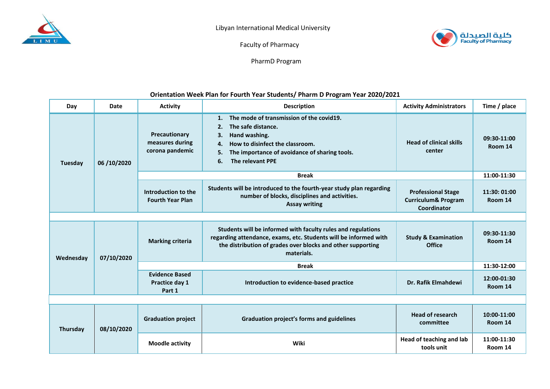



Faculty of Pharmacy

PharmD Program

## **Orientation Week Plan for Fourth Year Students/ Pharm D Program Year 2020/2021**

| Day       | Date       | <b>Activity</b>                                     | <b>Description</b>                                                                                                                                                                                                          | <b>Activity Administrators</b>                                             | Time / place            |  |  |  |  |
|-----------|------------|-----------------------------------------------------|-----------------------------------------------------------------------------------------------------------------------------------------------------------------------------------------------------------------------------|----------------------------------------------------------------------------|-------------------------|--|--|--|--|
| Tuesday   | 06/10/2020 | Precautionary<br>measures during<br>corona pandemic | The mode of transmission of the covid19.<br>1.<br>2.<br>The safe distance.<br>Hand washing.<br>3.<br>How to disinfect the classroom.<br>4.<br>5.<br>The importance of avoidance of sharing tools.<br>The relevant PPE<br>6. | <b>Head of clinical skills</b><br>center                                   | 09:30-11:00<br>Room 14  |  |  |  |  |
|           |            | <b>Break</b>                                        |                                                                                                                                                                                                                             |                                                                            | 11:00-11:30             |  |  |  |  |
|           |            | Introduction to the<br><b>Fourth Year Plan</b>      | Students will be introduced to the fourth-year study plan regarding<br>number of blocks, disciplines and activities.<br><b>Assay writing</b>                                                                                | <b>Professional Stage</b><br><b>Curriculum&amp; Program</b><br>Coordinator | 11:30: 01:00<br>Room 14 |  |  |  |  |
|           |            |                                                     |                                                                                                                                                                                                                             |                                                                            |                         |  |  |  |  |
| Wednesday | 07/10/2020 | <b>Marking criteria</b>                             | Students will be informed with faculty rules and regulations<br>regarding attendance, exams, etc. Students will be informed with<br>the distribution of grades over blocks and other supporting<br>materials.               | <b>Study &amp; Examination</b><br><b>Office</b>                            | 09:30-11:30<br>Room 14  |  |  |  |  |
|           |            | <b>Break</b>                                        |                                                                                                                                                                                                                             |                                                                            | 11:30-12:00             |  |  |  |  |
|           |            | <b>Evidence Based</b><br>Practice day 1<br>Part 1   | Introduction to evidence-based practice                                                                                                                                                                                     | Dr. Rafik Elmahdewi                                                        | 12:00-01:30<br>Room 14  |  |  |  |  |
|           |            |                                                     |                                                                                                                                                                                                                             |                                                                            |                         |  |  |  |  |
| Thursday  | 08/10/2020 | <b>Graduation project</b>                           | Graduation project's forms and guidelines                                                                                                                                                                                   | <b>Head of research</b><br>committee                                       | 10:00-11:00<br>Room 14  |  |  |  |  |
|           |            | <b>Moodle activity</b>                              | Wiki                                                                                                                                                                                                                        | Head of teaching and lab<br>tools unit                                     | 11:00-11:30<br>Room 14  |  |  |  |  |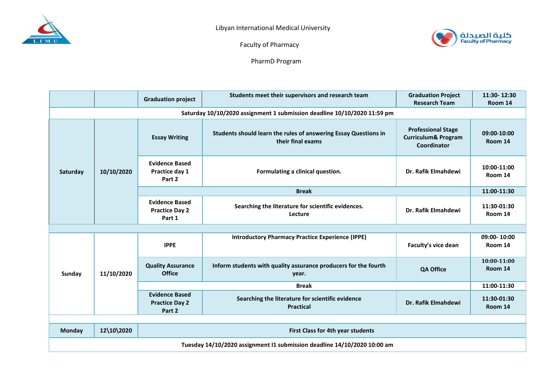



Faculty of Pharmacy

PharmD Program

|                                                                          |            | <b>Graduation project</b>                                | Students meet their supervisors and research team                                    | <b>Graduation Project</b><br><b>Research Team</b>                          | 11:30-12:30<br>Room 14 |  |  |  |  |
|--------------------------------------------------------------------------|------------|----------------------------------------------------------|--------------------------------------------------------------------------------------|----------------------------------------------------------------------------|------------------------|--|--|--|--|
| Saturday 10/10/2020 assignment 1 submission deadline 10/10/2020 11:59 pm |            |                                                          |                                                                                      |                                                                            |                        |  |  |  |  |
| Saturday                                                                 | 10/10/2020 | <b>Essay Writing</b>                                     | Students should learn the rules of answering Essay Questions in<br>their final exams | <b>Professional Stage</b><br><b>Curriculum&amp; Program</b><br>Coordinator | 09:00-10:00<br>Room 14 |  |  |  |  |
|                                                                          |            | <b>Evidence Based</b><br>Practice day 1<br>Part 2        | Formulating a clinical question.                                                     | Dr. Rafik Elmahdewi                                                        | 10:00-11:00<br>Room 14 |  |  |  |  |
|                                                                          |            | <b>Break</b>                                             |                                                                                      |                                                                            | 11:00-11:30            |  |  |  |  |
|                                                                          |            | <b>Evidence Based</b><br><b>Practice Day 2</b><br>Part 1 | Searching the literature for scientific evidences.<br>Lecture                        | Dr. Rafik Elmahdewi                                                        | 11:30-01:30<br>Room 14 |  |  |  |  |
|                                                                          |            |                                                          |                                                                                      |                                                                            |                        |  |  |  |  |
| Sunday                                                                   | 11/10/2020 | <b>IPPE</b>                                              | <b>Introductory Pharmacy Practice Experience (IPPE)</b>                              | Faculty's vice dean                                                        | 09:00-10:00<br>Room 14 |  |  |  |  |
|                                                                          |            | <b>Quality Assurance</b><br><b>Office</b>                | Inform students with quality assurance producers for the fourth<br>year.             | <b>QA Office</b>                                                           | 10:00-11:00<br>Room 14 |  |  |  |  |
|                                                                          |            | <b>Break</b>                                             |                                                                                      |                                                                            | 11:00-11:30            |  |  |  |  |
|                                                                          |            | <b>Evidence Based</b><br><b>Practice Day 2</b><br>Part 2 | Searching the literature for scientific evidence<br><b>Practical</b>                 | Dr. Rafik Elmahdewi                                                        | 11:30-01:30<br>Room 14 |  |  |  |  |
|                                                                          |            |                                                          |                                                                                      |                                                                            |                        |  |  |  |  |
| <b>Monday</b>                                                            | 12\10\2020 | First Class for 4th year students                        |                                                                                      |                                                                            |                        |  |  |  |  |
| Tuesday 14/10/2020 assignment I1 submission deadline 14/10/2020 10:00 am |            |                                                          |                                                                                      |                                                                            |                        |  |  |  |  |